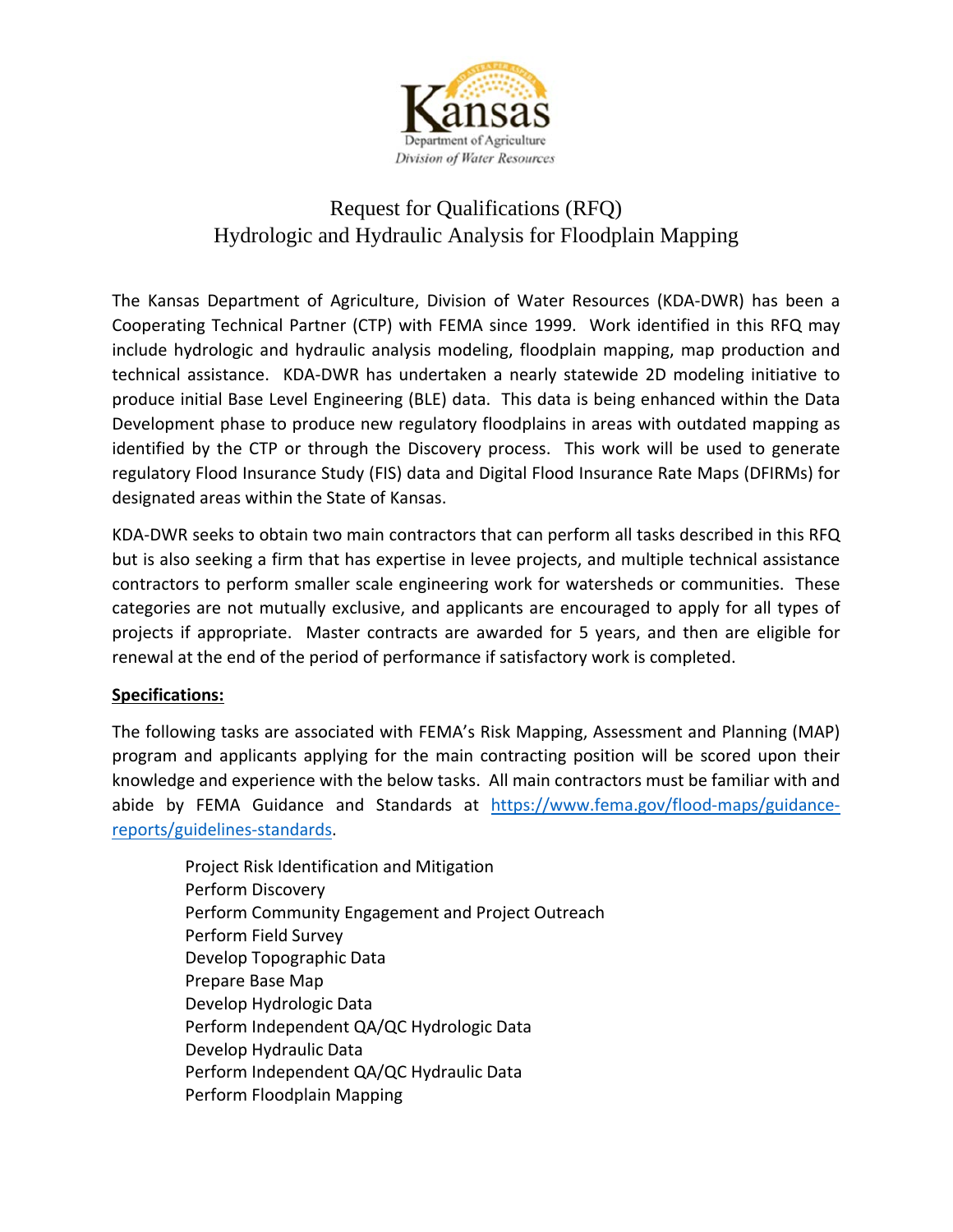

# Request for Qualifications (RFQ) Hydrologic and Hydraulic Analysis for Floodplain Mapping

The Kansas Department of Agriculture, Division of Water Resources (KDA-DWR) has been a Cooperating Technical Partner (CTP) with FEMA since 1999. Work identified in this RFQ may include hydrologic and hydraulic analysis modeling, floodplain mapping, map production and technical assistance. KDA-DWR has undertaken a nearly statewide 2D modeling initiative to produce initial Base Level Engineering (BLE) data. This data is being enhanced within the Data Development phase to produce new regulatory floodplains in areas with outdated mapping as identified by the CTP or through the Discovery process. This work will be used to generate regulatory Flood Insurance Study (FIS) data and Digital Flood Insurance Rate Maps (DFIRMs) for designated areas within the State of Kansas.

KDA-DWR seeks to obtain two main contractors that can perform all tasks described in this RFQ but is also seeking a firm that has expertise in levee projects, and multiple technical assistance contractors to perform smaller scale engineering work for watersheds or communities. These categories are not mutually exclusive, and applicants are encouraged to apply for all types of projects if appropriate. Master contracts are awarded for 5 years, and then are eligible for renewal at the end of the period of performance if satisfactory work is completed.

# **Specifications:**

The following tasks are associated with FEMA's Risk Mapping, Assessment and Planning (MAP) program and applicants applying for the main contracting position will be scored upon their knowledge and experience with the below tasks. All main contractors must be familiar with and abide by FEMA Guidance and Standards at [https://www.fema.gov/flood-maps/guidance](https://www.fema.gov/flood-maps/guidance-reports/guidelines-standards)[reports/guidelines-standards.](https://www.fema.gov/flood-maps/guidance-reports/guidelines-standards)

Project Risk Identification and Mitigation Perform Discovery Perform Community Engagement and Project Outreach Perform Field Survey Develop Topographic Data Prepare Base Map Develop Hydrologic Data Perform Independent QA/QC Hydrologic Data Develop Hydraulic Data Perform Independent QA/QC Hydraulic Data Perform Floodplain Mapping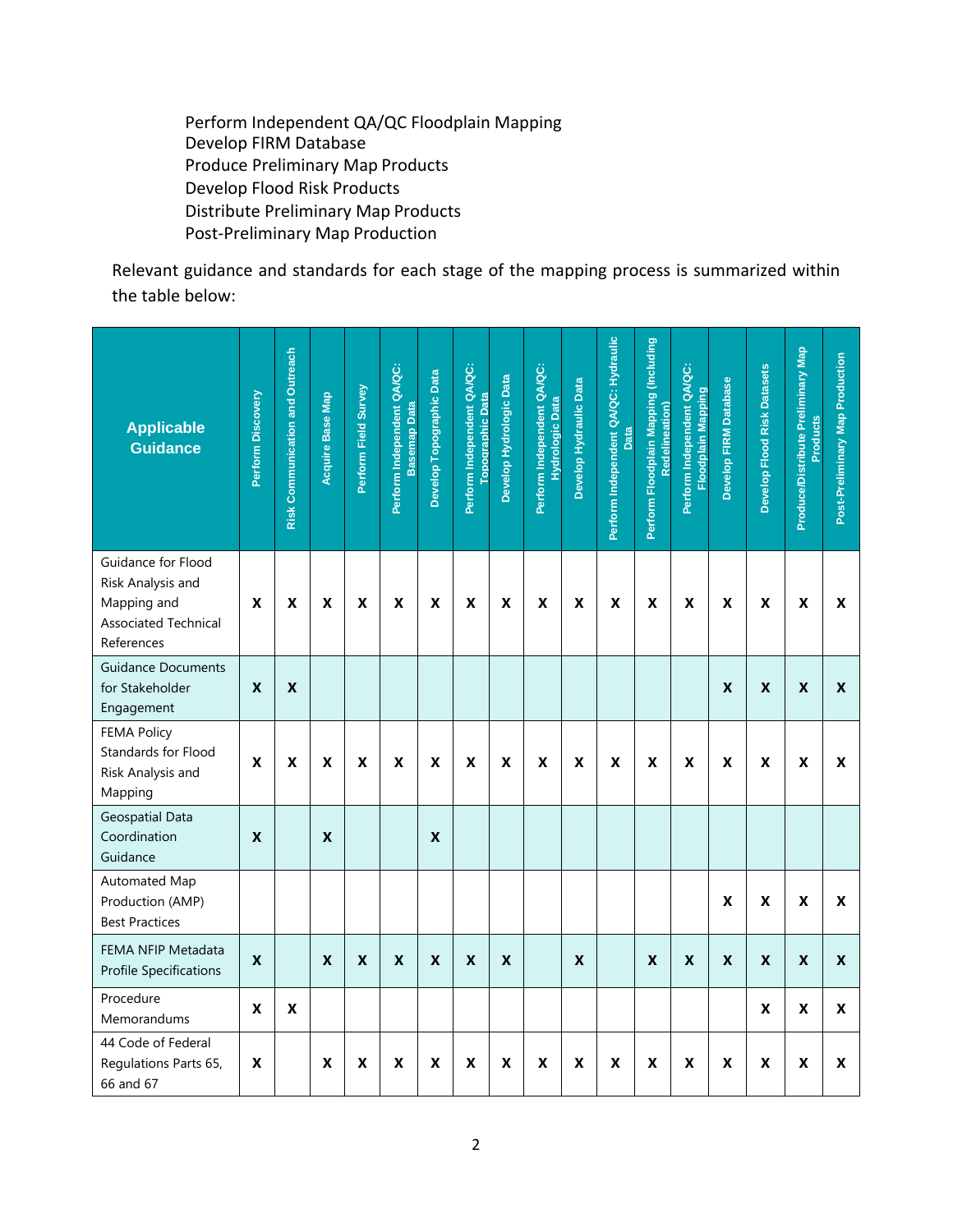Perform Independent QA/QC Floodplain Mapping Develop FIRM Database Produce Preliminary Map Products Develop Flood Risk Products Distribute Preliminary Map Products Post-Preliminary Map Production

Relevant guidance and standards for each stage of the mapping process is summarized within the table below:

| <b>Applicable</b><br><b>Guidance</b>                                                                | Perform Discovery  | Risk Communication and Outreach | <b>Acquire Base Map</b> | Perform Field Survey      | Perform Independent QA/QC:<br><b>Basemap Data</b> | Develop Topographic Data | Perform Independent QA/QC:<br><b>Topographic Data</b> | Develop Hydrologic Data   | Perform Independent QA/QC:<br><b>Hydrologic Data</b> | Develop Hydraulic Data | Perform Independent QA/QC: Hydraulic<br>Data | Perform Floodplain Mapping (Including<br>Redelin | Perform Independent QA/QC:<br><b>Floodplain Mapping</b> | Develop FIRM Database | <b>Develop Flood Risk Datasets</b> | Produce/Distribute Preliminary Map<br>Products | <b>Map Production</b><br>Post-Preliminary |
|-----------------------------------------------------------------------------------------------------|--------------------|---------------------------------|-------------------------|---------------------------|---------------------------------------------------|--------------------------|-------------------------------------------------------|---------------------------|------------------------------------------------------|------------------------|----------------------------------------------|--------------------------------------------------|---------------------------------------------------------|-----------------------|------------------------------------|------------------------------------------------|-------------------------------------------|
| Guidance for Flood<br>Risk Analysis and<br>Mapping and<br><b>Associated Technical</b><br>References | X                  | X                               | X                       | $\boldsymbol{\mathsf{X}}$ | X                                                 | X                        | X                                                     | $\boldsymbol{\mathsf{X}}$ | X                                                    | X                      | X                                            | $\boldsymbol{\mathsf{X}}$                        | X                                                       | X                     | $\boldsymbol{\mathsf{x}}$          | X                                              | X                                         |
| <b>Guidance Documents</b><br>for Stakeholder<br>Engagement                                          | X                  | X                               |                         |                           |                                                   |                          |                                                       |                           |                                                      |                        |                                              |                                                  |                                                         | X                     | X                                  | X                                              | X                                         |
| <b>FEMA Policy</b><br>Standards for Flood<br>Risk Analysis and<br>Mapping                           | X                  | X                               | X                       | X                         | X                                                 | X                        | X                                                     | $\pmb{\mathsf{X}}$        | X                                                    | X                      | X                                            | X                                                | X                                                       | X                     | X                                  | X                                              | X                                         |
| <b>Geospatial Data</b><br>Coordination<br>Guidance                                                  | X                  |                                 | X                       |                           |                                                   | X                        |                                                       |                           |                                                      |                        |                                              |                                                  |                                                         |                       |                                    |                                                |                                           |
| Automated Map<br>Production (AMP)<br><b>Best Practices</b>                                          |                    |                                 |                         |                           |                                                   |                          |                                                       |                           |                                                      |                        |                                              |                                                  |                                                         | X                     | X                                  | X                                              | X                                         |
| FEMA NFIP Metadata<br><b>Profile Specifications</b>                                                 | $\pmb{\mathsf{X}}$ |                                 | X                       | $\pmb{\mathsf{X}}$        | X                                                 | X                        | X                                                     | $\pmb{\mathsf{X}}$        |                                                      | $\pmb{\mathsf{X}}$     |                                              | $\pmb{\mathsf{X}}$                               | $\pmb{\mathsf{X}}$                                      | X                     | X                                  | X                                              | X                                         |
| Procedure<br>Memorandums                                                                            | X                  | X                               |                         |                           |                                                   |                          |                                                       |                           |                                                      |                        |                                              |                                                  |                                                         |                       | X                                  | X                                              | X                                         |
| 44 Code of Federal<br>Regulations Parts 65,<br>66 and 67                                            | X                  |                                 | X                       | X                         | X                                                 | X                        | X                                                     | X                         | X                                                    | X                      | X                                            | X                                                | $\pmb{\mathsf{X}}$                                      | X                     | $\pmb{\mathsf{X}}$                 | X                                              | X                                         |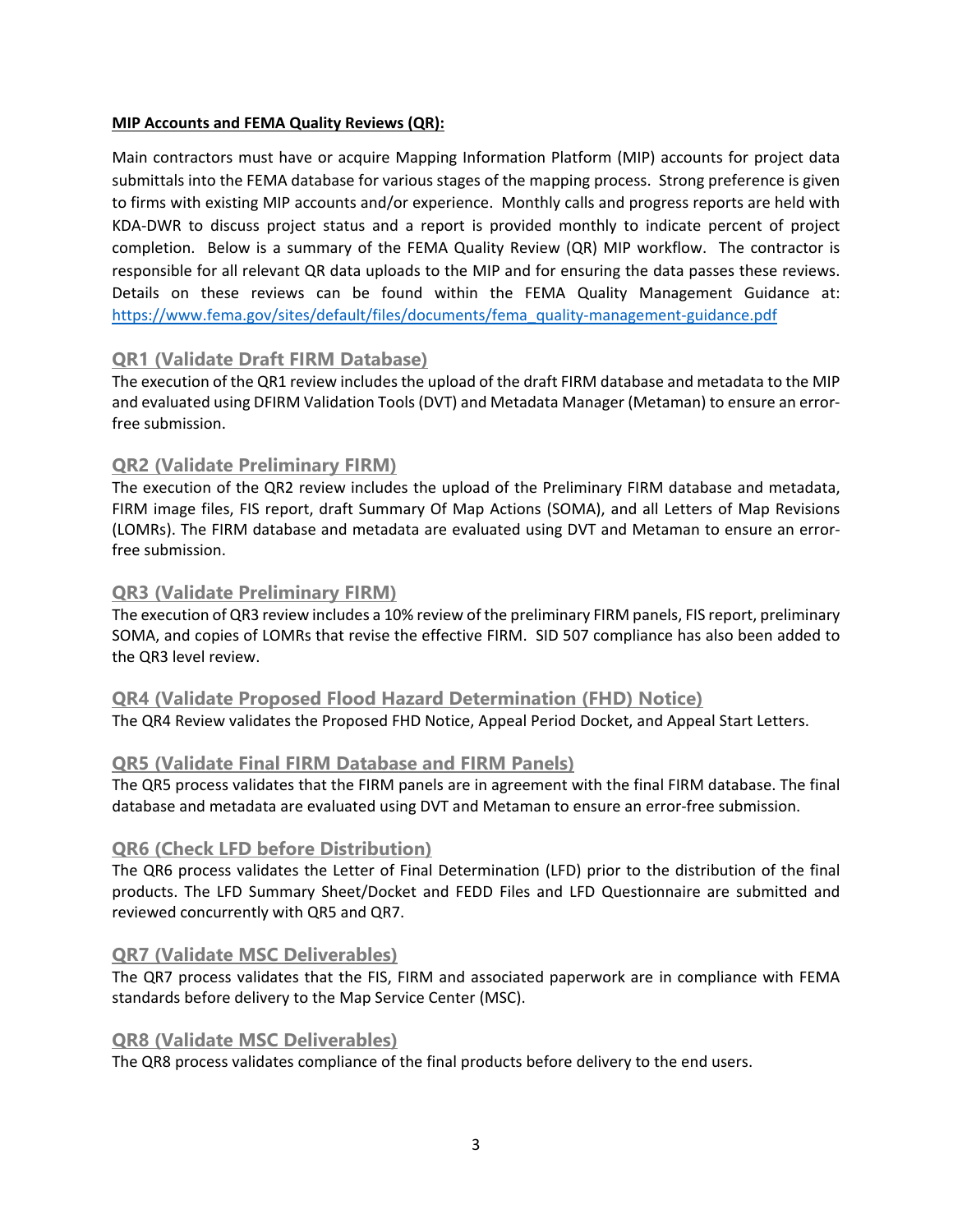# **MIP Accounts and FEMA Quality Reviews (QR):**

Main contractors must have or acquire Mapping Information Platform (MIP) accounts for project data submittals into the FEMA database for various stages of the mapping process. Strong preference is given to firms with existing MIP accounts and/or experience. Monthly calls and progress reports are held with KDA-DWR to discuss project status and a report is provided monthly to indicate percent of project completion. Below is a summary of the FEMA Quality Review (QR) MIP workflow. The contractor is responsible for all relevant QR data uploads to the MIP and for ensuring the data passes these reviews. Details on these reviews can be found within the FEMA Quality Management Guidance at: [https://www.fema.gov/sites/default/files/documents/fema\\_quality-management-guidance.pdf](https://www.fema.gov/sites/default/files/documents/fema_quality-management-guidance.pdf)

# **QR1 (Validate Draft FIRM Database)**

The execution of the QR1 review includes the upload of the draft FIRM database and metadata to the MIP and evaluated using DFIRM Validation Tools (DVT) and Metadata Manager (Metaman) to ensure an errorfree submission.

# **QR2 (Validate Preliminary FIRM)**

The execution of the QR2 review includes the upload of the Preliminary FIRM database and metadata, FIRM image files, FIS report, draft Summary Of Map Actions (SOMA), and all Letters of Map Revisions (LOMRs). The FIRM database and metadata are evaluated using DVT and Metaman to ensure an errorfree submission.

# **QR3 (Validate Preliminary FIRM)**

The execution of QR3 review includes a 10% review of the preliminary FIRM panels, FIS report, preliminary SOMA, and copies of LOMRs that revise the effective FIRM. SID 507 compliance has also been added to the QR3 level review.

# **QR4 (Validate Proposed Flood Hazard Determination (FHD) Notice)**

The QR4 Review validates the Proposed FHD Notice, Appeal Period Docket, and Appeal Start Letters.

# **QR5 (Validate Final FIRM Database and FIRM Panels)**

The QR5 process validates that the FIRM panels are in agreement with the final FIRM database. The final database and metadata are evaluated using DVT and Metaman to ensure an error-free submission.

# **QR6 (Check LFD before Distribution)**

The QR6 process validates the Letter of Final Determination (LFD) prior to the distribution of the final products. The LFD Summary Sheet/Docket and FEDD Files and LFD Questionnaire are submitted and reviewed concurrently with QR5 and QR7.

# **QR7 (Validate MSC Deliverables)**

The QR7 process validates that the FIS, FIRM and associated paperwork are in compliance with FEMA standards before delivery to the Map Service Center (MSC).

# **QR8 (Validate MSC Deliverables)**

The QR8 process validates compliance of the final products before delivery to the end users.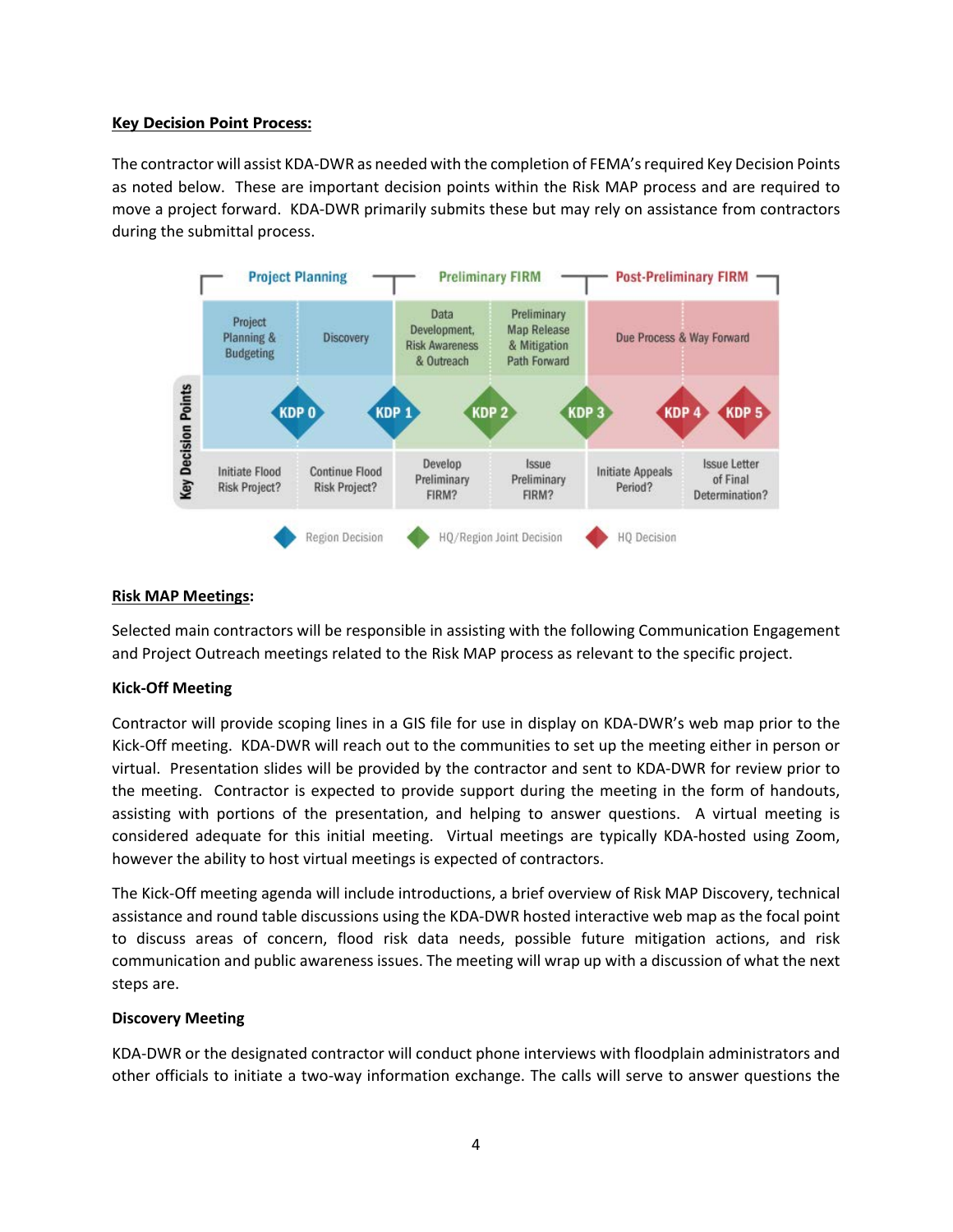### **Key Decision Point Process:**

The contractor will assist KDA-DWR as needed with the completion of FEMA's required Key Decision Points as noted below. These are important decision points within the Risk MAP process and are required to move a project forward. KDA-DWR primarily submits these but may rely on assistance from contractors during the submittal process.



### **Risk MAP Meetings:**

Selected main contractors will be responsible in assisting with the following Communication Engagement and Project Outreach meetings related to the Risk MAP process as relevant to the specific project.

# **Kick-Off Meeting**

Contractor will provide scoping lines in a GIS file for use in display on KDA-DWR's web map prior to the Kick-Off meeting. KDA-DWR will reach out to the communities to set up the meeting either in person or virtual. Presentation slides will be provided by the contractor and sent to KDA-DWR for review prior to the meeting. Contractor is expected to provide support during the meeting in the form of handouts, assisting with portions of the presentation, and helping to answer questions. A virtual meeting is considered adequate for this initial meeting. Virtual meetings are typically KDA-hosted using Zoom, however the ability to host virtual meetings is expected of contractors.

The Kick-Off meeting agenda will include introductions, a brief overview of Risk MAP Discovery, technical assistance and round table discussions using the KDA-DWR hosted interactive web map as the focal point to discuss areas of concern, flood risk data needs, possible future mitigation actions, and risk communication and public awareness issues. The meeting will wrap up with a discussion of what the next steps are.

#### **Discovery Meeting**

KDA-DWR or the designated contractor will conduct phone interviews with floodplain administrators and other officials to initiate a two-way information exchange. The calls will serve to answer questions the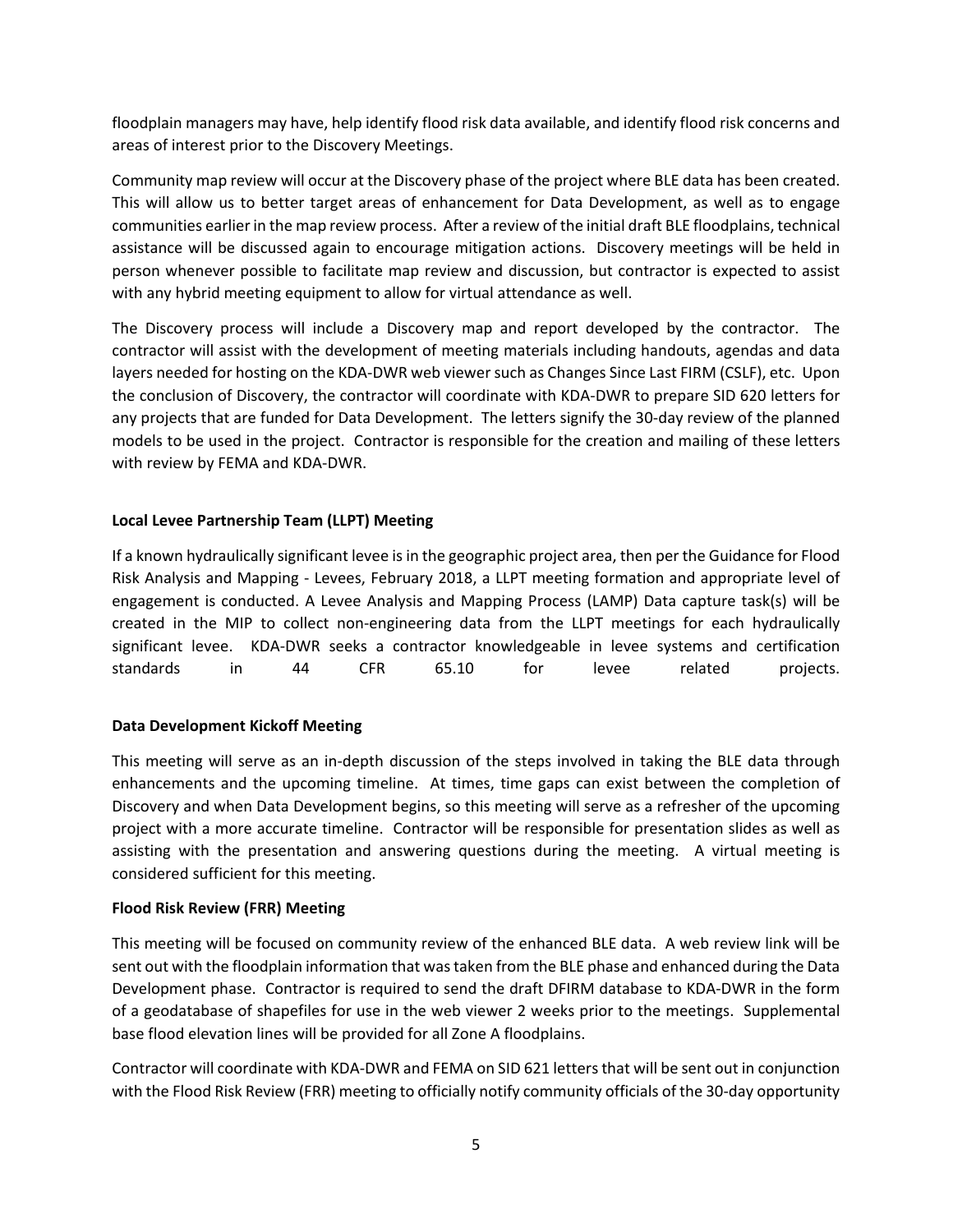floodplain managers may have, help identify flood risk data available, and identify flood risk concerns and areas of interest prior to the Discovery Meetings.

Community map review will occur at the Discovery phase of the project where BLE data has been created. This will allow us to better target areas of enhancement for Data Development, as well as to engage communities earlier in the map review process. After a review of the initial draft BLE floodplains, technical assistance will be discussed again to encourage mitigation actions. Discovery meetings will be held in person whenever possible to facilitate map review and discussion, but contractor is expected to assist with any hybrid meeting equipment to allow for virtual attendance as well.

The Discovery process will include a Discovery map and report developed by the contractor. The contractor will assist with the development of meeting materials including handouts, agendas and data layers needed for hosting on the KDA-DWR web viewer such as Changes Since Last FIRM (CSLF), etc. Upon the conclusion of Discovery, the contractor will coordinate with KDA-DWR to prepare SID 620 letters for any projects that are funded for Data Development. The letters signify the 30-day review of the planned models to be used in the project. Contractor is responsible for the creation and mailing of these letters with review by FEMA and KDA-DWR.

# **Local Levee Partnership Team (LLPT) Meeting**

If a known hydraulically significant levee is in the geographic project area, then per the Guidance for Flood Risk Analysis and Mapping - Levees, February 2018, a LLPT meeting formation and appropriate level of engagement is conducted. A Levee Analysis and Mapping Process (LAMP) Data capture task(s) will be created in the MIP to collect non-engineering data from the LLPT meetings for each hydraulically significant levee. KDA-DWR seeks a contractor knowledgeable in levee systems and certification standards in 44 CFR 65.10 for levee related projects.

# **Data Development Kickoff Meeting**

This meeting will serve as an in-depth discussion of the steps involved in taking the BLE data through enhancements and the upcoming timeline. At times, time gaps can exist between the completion of Discovery and when Data Development begins, so this meeting will serve as a refresher of the upcoming project with a more accurate timeline. Contractor will be responsible for presentation slides as well as assisting with the presentation and answering questions during the meeting. A virtual meeting is considered sufficient for this meeting.

# **Flood Risk Review (FRR) Meeting**

This meeting will be focused on community review of the enhanced BLE data. A web review link will be sent out with the floodplain information that was taken from the BLE phase and enhanced during the Data Development phase. Contractor is required to send the draft DFIRM database to KDA-DWR in the form of a geodatabase of shapefiles for use in the web viewer 2 weeks prior to the meetings. Supplemental base flood elevation lines will be provided for all Zone A floodplains.

Contractor will coordinate with KDA-DWR and FEMA on SID 621 letters that will be sent out in conjunction with the Flood Risk Review (FRR) meeting to officially notify community officials of the 30-day opportunity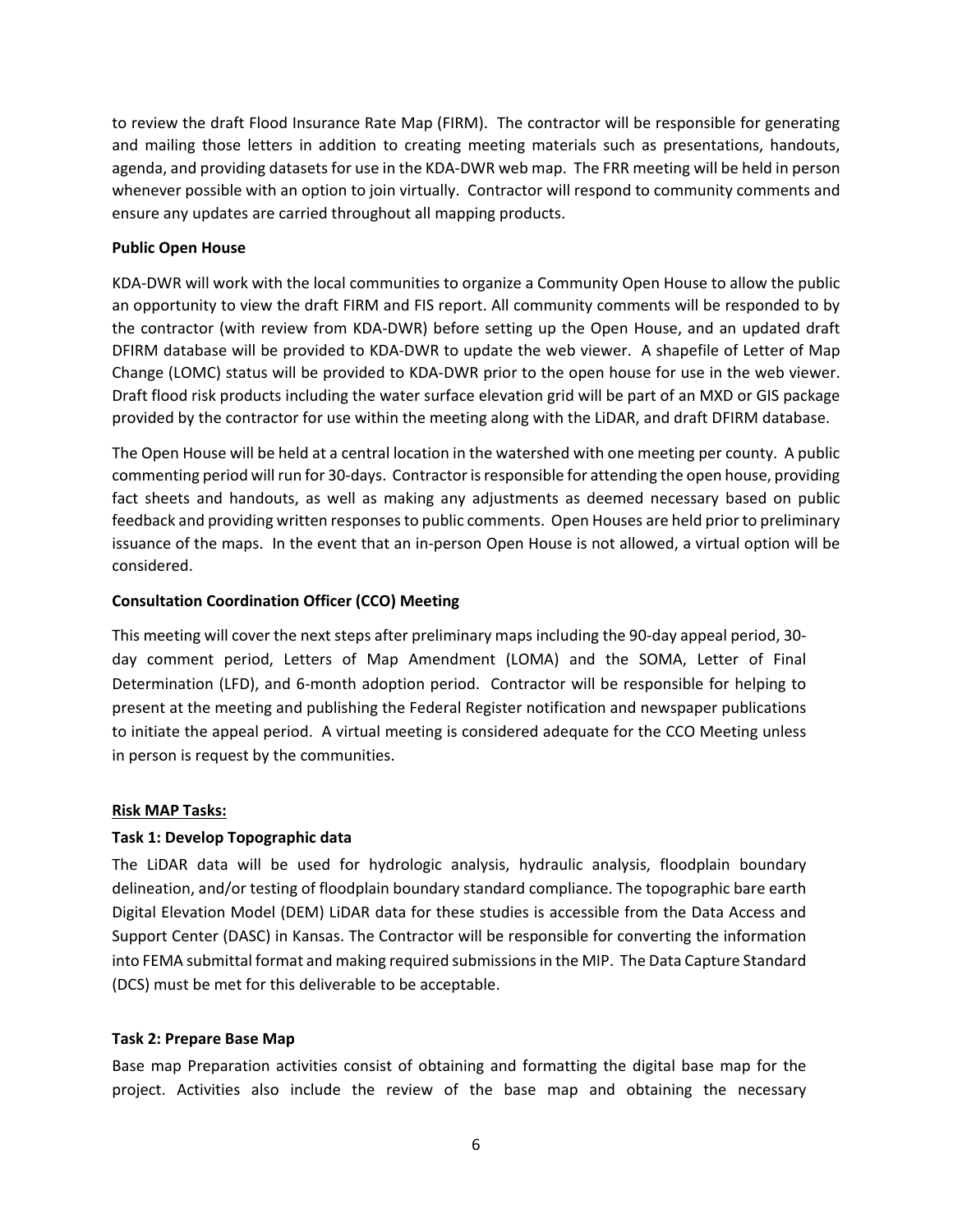to review the draft Flood Insurance Rate Map (FIRM). The contractor will be responsible for generating and mailing those letters in addition to creating meeting materials such as presentations, handouts, agenda, and providing datasets for use in the KDA-DWR web map. The FRR meeting will be held in person whenever possible with an option to join virtually. Contractor will respond to community comments and ensure any updates are carried throughout all mapping products.

# **Public Open House**

KDA-DWR will work with the local communities to organize a Community Open House to allow the public an opportunity to view the draft FIRM and FIS report. All community comments will be responded to by the contractor (with review from KDA-DWR) before setting up the Open House, and an updated draft DFIRM database will be provided to KDA-DWR to update the web viewer. A shapefile of Letter of Map Change (LOMC) status will be provided to KDA-DWR prior to the open house for use in the web viewer. Draft flood risk products including the water surface elevation grid will be part of an MXD or GIS package provided by the contractor for use within the meeting along with the LiDAR, and draft DFIRM database.

The Open House will be held at a central location in the watershed with one meeting per county. A public commenting period will run for 30-days. Contractor is responsible for attending the open house, providing fact sheets and handouts, as well as making any adjustments as deemed necessary based on public feedback and providing written responses to public comments. Open Houses are held prior to preliminary issuance of the maps. In the event that an in-person Open House is not allowed, a virtual option will be considered.

# **Consultation Coordination Officer (CCO) Meeting**

This meeting will cover the next steps after preliminary maps including the 90-day appeal period, 30 day comment period, Letters of Map Amendment (LOMA) and the SOMA, Letter of Final Determination (LFD), and 6-month adoption period. Contractor will be responsible for helping to present at the meeting and publishing the Federal Register notification and newspaper publications to initiate the appeal period. A virtual meeting is considered adequate for the CCO Meeting unless in person is request by the communities.

#### **Risk MAP Tasks:**

# **Task 1: Develop Topographic data**

The LiDAR data will be used for hydrologic analysis, hydraulic analysis, floodplain boundary delineation, and/or testing of floodplain boundary standard compliance. The topographic bare earth Digital Elevation Model (DEM) LiDAR data for these studies is accessible from the Data Access and Support Center (DASC) in Kansas. The Contractor will be responsible for converting the information into FEMA submittal format and making required submissions in the MIP. The Data Capture Standard (DCS) must be met for this deliverable to be acceptable.

#### **Task 2: Prepare Base Map**

Base map Preparation activities consist of obtaining and formatting the digital base map for the project. Activities also include the review of the base map and obtaining the necessary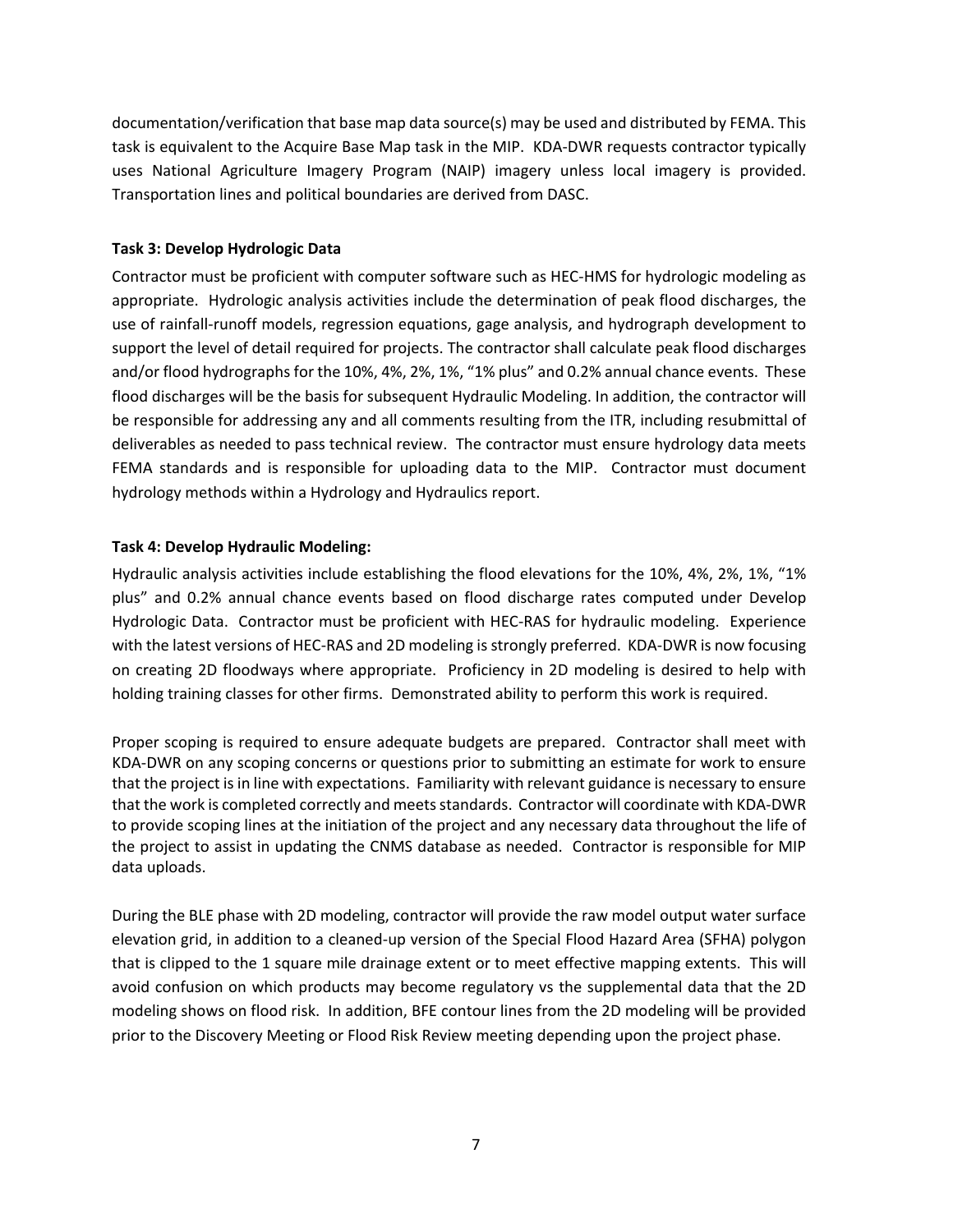documentation/verification that base map data source(s) may be used and distributed by FEMA. This task is equivalent to the Acquire Base Map task in the MIP. KDA-DWR requests contractor typically uses National Agriculture Imagery Program (NAIP) imagery unless local imagery is provided. Transportation lines and political boundaries are derived from DASC.

# **Task 3: Develop Hydrologic Data**

Contractor must be proficient with computer software such as HEC-HMS for hydrologic modeling as appropriate. Hydrologic analysis activities include the determination of peak flood discharges, the use of rainfall-runoff models, regression equations, gage analysis, and hydrograph development to support the level of detail required for projects. The contractor shall calculate peak flood discharges and/or flood hydrographs for the 10%, 4%, 2%, 1%, "1% plus" and 0.2% annual chance events. These flood discharges will be the basis for subsequent Hydraulic Modeling. In addition, the contractor will be responsible for addressing any and all comments resulting from the ITR, including resubmittal of deliverables as needed to pass technical review. The contractor must ensure hydrology data meets FEMA standards and is responsible for uploading data to the MIP. Contractor must document hydrology methods within a Hydrology and Hydraulics report.

# **Task 4: Develop Hydraulic Modeling:**

Hydraulic analysis activities include establishing the flood elevations for the 10%, 4%, 2%, 1%, "1% plus" and 0.2% annual chance events based on flood discharge rates computed under Develop Hydrologic Data. Contractor must be proficient with HEC-RAS for hydraulic modeling. Experience with the latest versions of HEC-RAS and 2D modeling is strongly preferred. KDA-DWR is now focusing on creating 2D floodways where appropriate. Proficiency in 2D modeling is desired to help with holding training classes for other firms. Demonstrated ability to perform this work is required.

Proper scoping is required to ensure adequate budgets are prepared. Contractor shall meet with KDA-DWR on any scoping concerns or questions prior to submitting an estimate for work to ensure that the project is in line with expectations. Familiarity with relevant guidance is necessary to ensure that the work is completed correctly and meets standards. Contractor will coordinate with KDA-DWR to provide scoping lines at the initiation of the project and any necessary data throughout the life of the project to assist in updating the CNMS database as needed. Contractor is responsible for MIP data uploads.

During the BLE phase with 2D modeling, contractor will provide the raw model output water surface elevation grid, in addition to a cleaned-up version of the Special Flood Hazard Area (SFHA) polygon that is clipped to the 1 square mile drainage extent or to meet effective mapping extents. This will avoid confusion on which products may become regulatory vs the supplemental data that the 2D modeling shows on flood risk. In addition, BFE contour lines from the 2D modeling will be provided prior to the Discovery Meeting or Flood Risk Review meeting depending upon the project phase.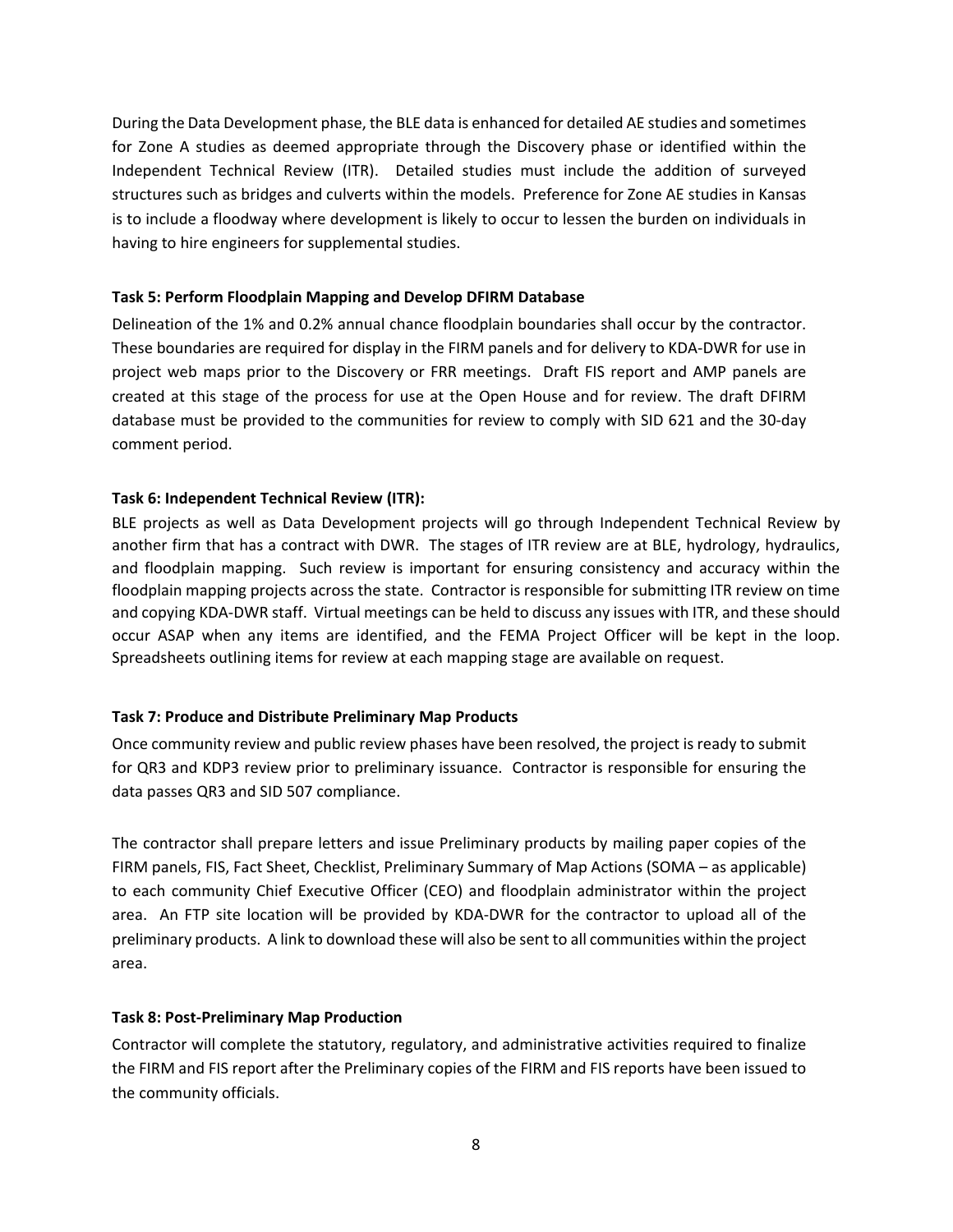During the Data Development phase, the BLE data is enhanced for detailed AE studies and sometimes for Zone A studies as deemed appropriate through the Discovery phase or identified within the Independent Technical Review (ITR). Detailed studies must include the addition of surveyed structures such as bridges and culverts within the models. Preference for Zone AE studies in Kansas is to include a floodway where development is likely to occur to lessen the burden on individuals in having to hire engineers for supplemental studies.

### **Task 5: Perform Floodplain Mapping and Develop DFIRM Database**

Delineation of the 1% and 0.2% annual chance floodplain boundaries shall occur by the contractor. These boundaries are required for display in the FIRM panels and for delivery to KDA-DWR for use in project web maps prior to the Discovery or FRR meetings. Draft FIS report and AMP panels are created at this stage of the process for use at the Open House and for review. The draft DFIRM database must be provided to the communities for review to comply with SID 621 and the 30-day comment period.

### **Task 6: Independent Technical Review (ITR):**

BLE projects as well as Data Development projects will go through Independent Technical Review by another firm that has a contract with DWR. The stages of ITR review are at BLE, hydrology, hydraulics, and floodplain mapping. Such review is important for ensuring consistency and accuracy within the floodplain mapping projects across the state. Contractor is responsible for submitting ITR review on time and copying KDA-DWR staff. Virtual meetings can be held to discuss any issues with ITR, and these should occur ASAP when any items are identified, and the FEMA Project Officer will be kept in the loop. Spreadsheets outlining items for review at each mapping stage are available on request.

#### **Task 7: Produce and Distribute Preliminary Map Products**

Once community review and public review phases have been resolved, the project is ready to submit for QR3 and KDP3 review prior to preliminary issuance. Contractor is responsible for ensuring the data passes QR3 and SID 507 compliance.

The contractor shall prepare letters and issue Preliminary products by mailing paper copies of the FIRM panels, FIS, Fact Sheet, Checklist, Preliminary Summary of Map Actions (SOMA – as applicable) to each community Chief Executive Officer (CEO) and floodplain administrator within the project area. An FTP site location will be provided by KDA-DWR for the contractor to upload all of the preliminary products. A link to download these will also be sent to all communities within the project area.

#### **Task 8: Post-Preliminary Map Production**

Contractor will complete the statutory, regulatory, and administrative activities required to finalize the FIRM and FIS report after the Preliminary copies of the FIRM and FIS reports have been issued to the community officials.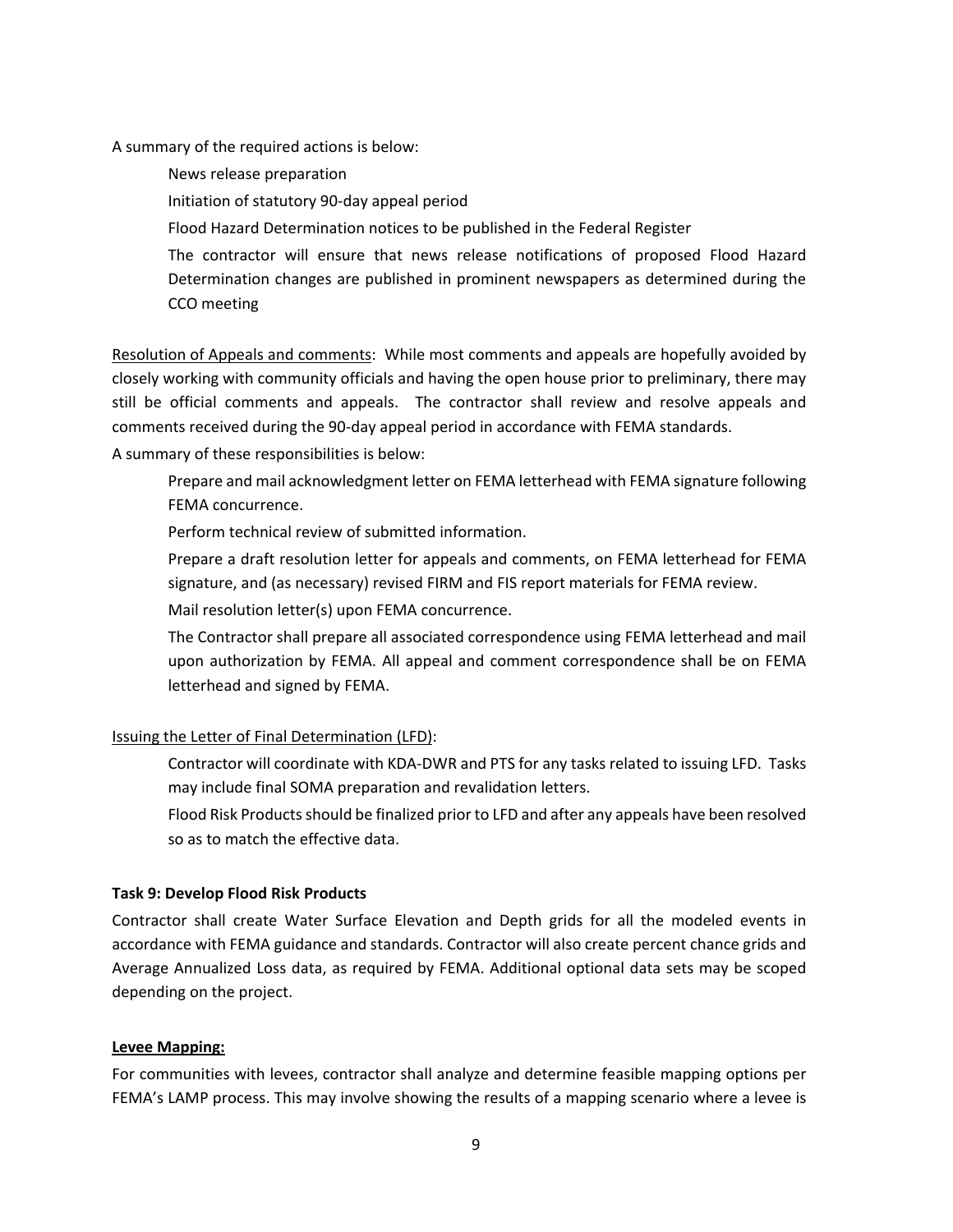A summary of the required actions is below:

News release preparation

Initiation of statutory 90-day appeal period

Flood Hazard Determination notices to be published in the Federal Register

The contractor will ensure that news release notifications of proposed Flood Hazard Determination changes are published in prominent newspapers as determined during the CCO meeting

Resolution of Appeals and comments: While most comments and appeals are hopefully avoided by closely working with community officials and having the open house prior to preliminary, there may still be official comments and appeals. The contractor shall review and resolve appeals and comments received during the 90-day appeal period in accordance with FEMA standards.

A summary of these responsibilities is below:

Prepare and mail acknowledgment letter on FEMA letterhead with FEMA signature following FEMA concurrence.

Perform technical review of submitted information.

Prepare a draft resolution letter for appeals and comments, on FEMA letterhead for FEMA signature, and (as necessary) revised FIRM and FIS report materials for FEMA review.

Mail resolution letter(s) upon FEMA concurrence.

The Contractor shall prepare all associated correspondence using FEMA letterhead and mail upon authorization by FEMA. All appeal and comment correspondence shall be on FEMA letterhead and signed by FEMA.

# Issuing the Letter of Final Determination (LFD):

Contractor will coordinate with KDA-DWR and PTS for any tasks related to issuing LFD. Tasks may include final SOMA preparation and revalidation letters.

Flood Risk Products should be finalized prior to LFD and after any appeals have been resolved so as to match the effective data.

# **Task 9: Develop Flood Risk Products**

Contractor shall create Water Surface Elevation and Depth grids for all the modeled events in accordance with FEMA guidance and standards. Contractor will also create percent chance grids and Average Annualized Loss data, as required by FEMA. Additional optional data sets may be scoped depending on the project.

# **Levee Mapping:**

For communities with levees, contractor shall analyze and determine feasible mapping options per FEMA's LAMP process. This may involve showing the results of a mapping scenario where a levee is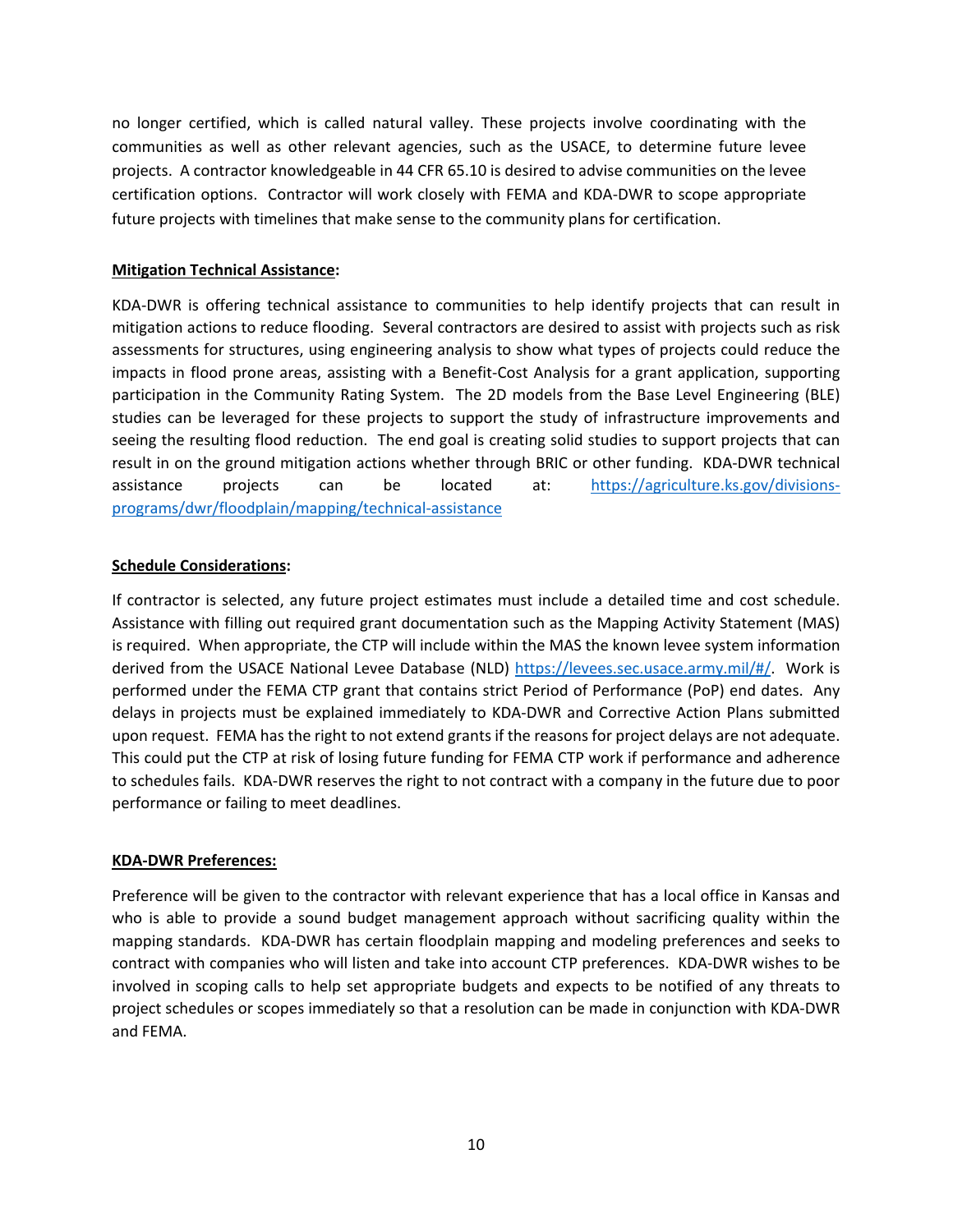no longer certified, which is called natural valley. These projects involve coordinating with the communities as well as other relevant agencies, such as the USACE, to determine future levee projects. A contractor knowledgeable in 44 CFR 65.10 is desired to advise communities on the levee certification options. Contractor will work closely with FEMA and KDA-DWR to scope appropriate future projects with timelines that make sense to the community plans for certification.

### **Mitigation Technical Assistance:**

KDA-DWR is offering technical assistance to communities to help identify projects that can result in mitigation actions to reduce flooding. Several contractors are desired to assist with projects such as risk assessments for structures, using engineering analysis to show what types of projects could reduce the impacts in flood prone areas, assisting with a Benefit-Cost Analysis for a grant application, supporting participation in the Community Rating System. The 2D models from the Base Level Engineering (BLE) studies can be leveraged for these projects to support the study of infrastructure improvements and seeing the resulting flood reduction. The end goal is creating solid studies to support projects that can result in on the ground mitigation actions whether through BRIC or other funding. KDA-DWR technical assistance projects can be located at: [https://agriculture.ks.gov/divisions](https://agriculture.ks.gov/divisions-programs/dwr/floodplain/mapping/technical-assistance)[programs/dwr/floodplain/mapping/technical-assistance](https://agriculture.ks.gov/divisions-programs/dwr/floodplain/mapping/technical-assistance)

### **Schedule Considerations:**

If contractor is selected, any future project estimates must include a detailed time and cost schedule. Assistance with filling out required grant documentation such as the Mapping Activity Statement (MAS) is required. When appropriate, the CTP will include within the MAS the known levee system information derived from the USACE National Levee Database (NLD) [https://levees.sec.usace.army.mil/#/.](https://levees.sec.usace.army.mil/#/) Work is performed under the FEMA CTP grant that contains strict Period of Performance (PoP) end dates. Any delays in projects must be explained immediately to KDA-DWR and Corrective Action Plans submitted upon request. FEMA has the right to not extend grants if the reasons for project delays are not adequate. This could put the CTP at risk of losing future funding for FEMA CTP work if performance and adherence to schedules fails. KDA-DWR reserves the right to not contract with a company in the future due to poor performance or failing to meet deadlines.

#### **KDA-DWR Preferences:**

Preference will be given to the contractor with relevant experience that has a local office in Kansas and who is able to provide a sound budget management approach without sacrificing quality within the mapping standards. KDA-DWR has certain floodplain mapping and modeling preferences and seeks to contract with companies who will listen and take into account CTP preferences. KDA-DWR wishes to be involved in scoping calls to help set appropriate budgets and expects to be notified of any threats to project schedules or scopes immediately so that a resolution can be made in conjunction with KDA-DWR and FEMA.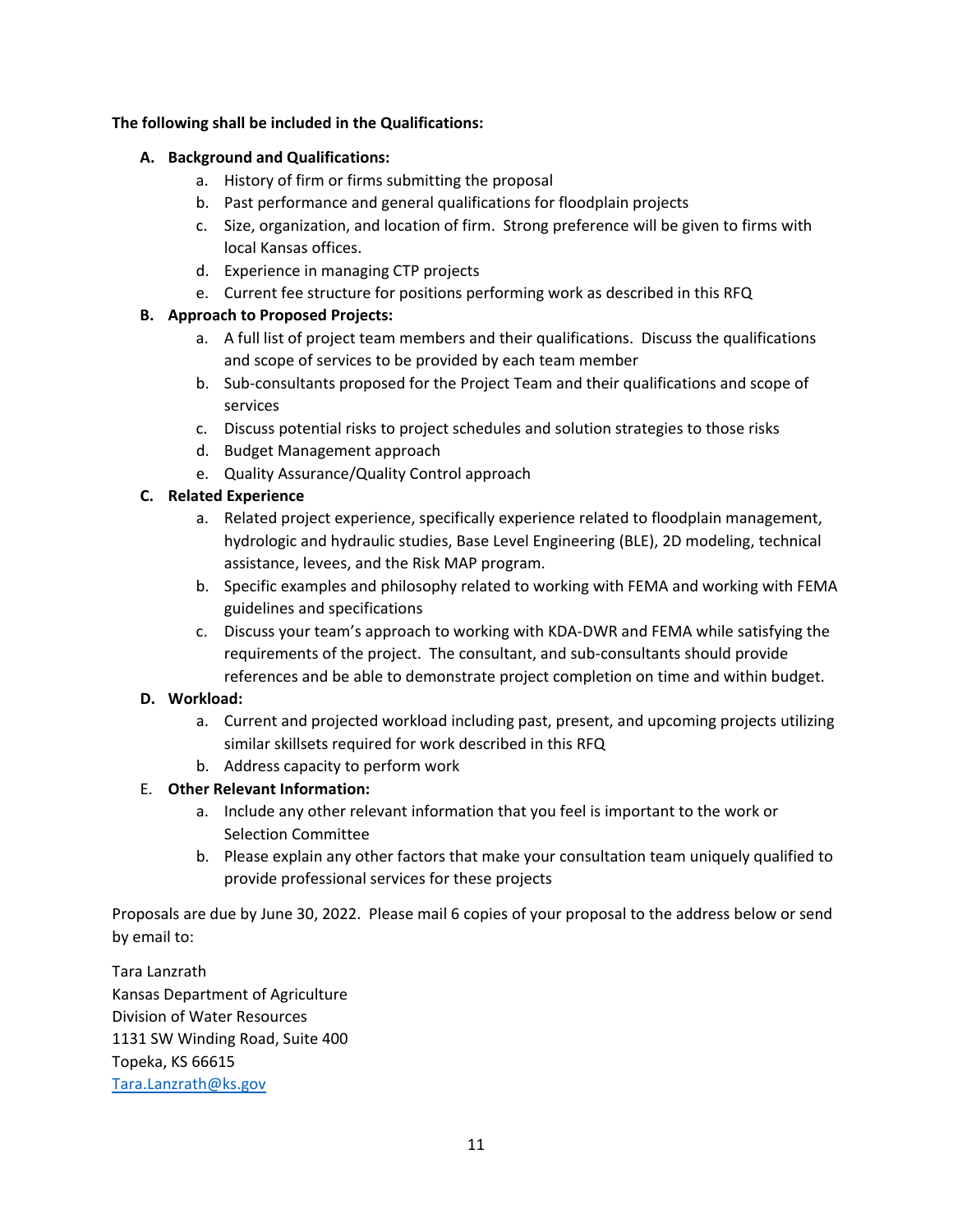# **The following shall be included in the Qualifications:**

# **A. Background and Qualifications:**

- a. History of firm or firms submitting the proposal
- b. Past performance and general qualifications for floodplain projects
- c. Size, organization, and location of firm. Strong preference will be given to firms with local Kansas offices.
- d. Experience in managing CTP projects
- e. Current fee structure for positions performing work as described in this RFQ

# **B. Approach to Proposed Projects:**

- a. A full list of project team members and their qualifications. Discuss the qualifications and scope of services to be provided by each team member
- b. Sub-consultants proposed for the Project Team and their qualifications and scope of services
- c. Discuss potential risks to project schedules and solution strategies to those risks
- d. Budget Management approach
- e. Quality Assurance/Quality Control approach

# **C. Related Experience**

- a. Related project experience, specifically experience related to floodplain management, hydrologic and hydraulic studies, Base Level Engineering (BLE), 2D modeling, technical assistance, levees, and the Risk MAP program.
- b. Specific examples and philosophy related to working with FEMA and working with FEMA guidelines and specifications
- c. Discuss your team's approach to working with KDA-DWR and FEMA while satisfying the requirements of the project. The consultant, and sub-consultants should provide references and be able to demonstrate project completion on time and within budget.

# **D. Workload:**

- a. Current and projected workload including past, present, and upcoming projects utilizing similar skillsets required for work described in this RFQ
- b. Address capacity to perform work

# E. **Other Relevant Information:**

- a. Include any other relevant information that you feel is important to the work or Selection Committee
- b. Please explain any other factors that make your consultation team uniquely qualified to provide professional services for these projects

Proposals are due by June 30, 2022. Please mail 6 copies of your proposal to the address below or send by email to:

Tara Lanzrath Kansas Department of Agriculture Division of Water Resources 1131 SW Winding Road, Suite 400 Topeka, KS 66615 [Tara.Lanzrath@ks.gov](mailto:Tara.Lanzrath@ks.gov)